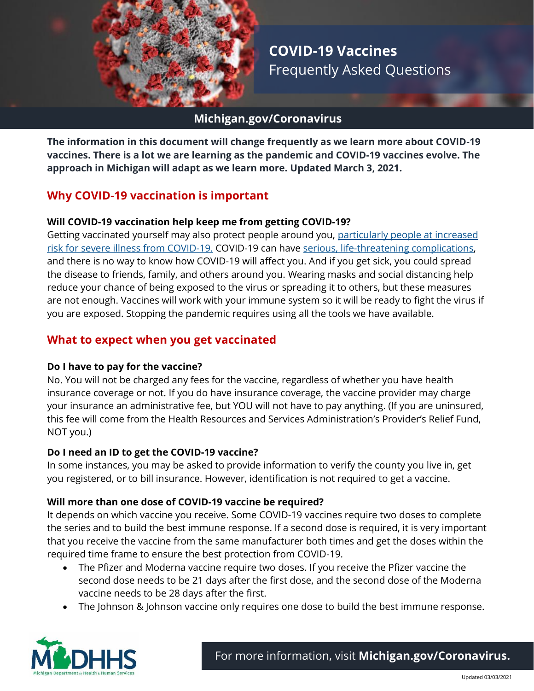

**COVID-19 Vaccines** Frequently Asked Questions

## **Michigan.gov/Coronavirus**

**The information in this document will change frequently as we learn more about COVID-19 vaccines. There is a lot we are learning as the pandemic and COVID-19 vaccines evolve. The approach in Michigan will adapt as we learn more. Updated March 3, 2021.**

# **Why COVID-19 vaccination is important**

#### **Will COVID-19 vaccination help keep me from getting COVID-19?**

Getting vaccinated yourself may also protect people around you, [particularly people at increased](https://www.cdc.gov/coronavirus/2019-ncov/need-extra-precautions/index.html)  [risk for severe illness from COVID-19.](https://www.cdc.gov/coronavirus/2019-ncov/need-extra-precautions/index.html) COVID-19 can have [serious, life-threatening complications,](https://www.cdc.gov/coronavirus/2019-ncov/symptoms-testing/symptoms.html) and there is no way to know how COVID-19 will affect you. And if you get sick, you could spread the disease to friends, family, and others around you. Wearing masks and social distancing help reduce your chance of being exposed to the virus or spreading it to others, but these measures are not enough. Vaccines will work with your immune system so it will be ready to fight the virus if you are exposed. Stopping the pandemic requires using all the tools we have available.

## **What to expect when you get vaccinated**

#### **Do I have to pay for the vaccine?**

No. You will not be charged any fees for the vaccine, regardless of whether you have health insurance coverage or not. If you do have insurance coverage, the vaccine provider may charge your insurance an administrative fee, but YOU will not have to pay anything. (If you are uninsured, this fee will come from the Health Resources and Services Administration's Provider's Relief Fund, NOT you.)

#### **Do I need an ID to get the COVID-19 vaccine?**

In some instances, you may be asked to provide information to verify the county you live in, get you registered, or to bill insurance. However, identification is not required to get a vaccine.

#### **Will more than one dose of COVID-19 vaccine be required?**

It depends on which vaccine you receive. Some COVID-19 vaccines require two doses to complete the series and to build the best immune response. If a second dose is required, it is very important that you receive the vaccine from the same manufacturer both times and get the doses within the required time frame to ensure the best protection from COVID-19.

- The Pfizer and Moderna vaccine require two doses. If you receive the Pfizer vaccine the second dose needs to be 21 days after the first dose, and the second dose of the Moderna vaccine needs to be 28 days after the first.
- The Johnson & Johnson vaccine only requires one dose to build the best immune response.

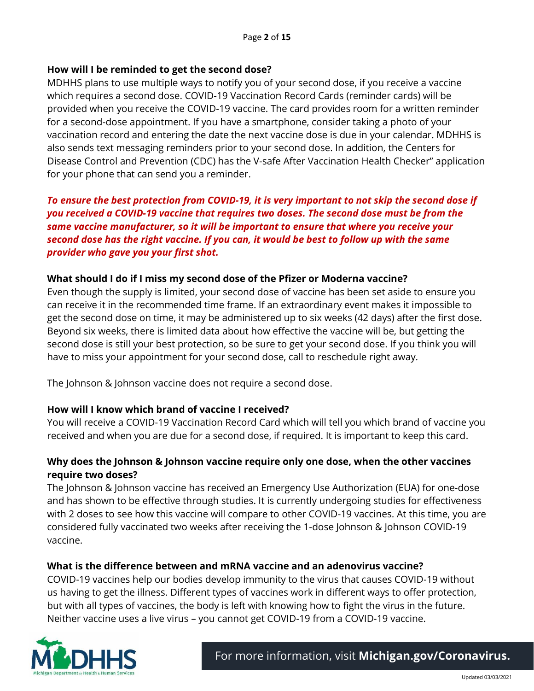### **How will I be reminded to get the second dose?**

MDHHS plans to use multiple ways to notify you of your second dose, if you receive a vaccine which requires a second dose. COVID-19 Vaccination Record Cards (reminder cards) will be provided when you receive the COVID-19 vaccine. The card provides room for a written reminder for a second-dose appointment. If you have a smartphone, consider taking a photo of your vaccination record and entering the date the next vaccine dose is due in your calendar. MDHHS is also sends text messaging reminders prior to your second dose. In addition, the Centers for Disease Control and Prevention (CDC) has the V-safe After Vaccination Health Checker" application for your phone that can send you a reminder.

*To ensure the best protection from COVID-19, it is very important to not skip the second dose if you received a COVID-19 vaccine that requires two doses. The second dose must be from the same vaccine manufacturer, so it will be important to ensure that where you receive your second dose has the right vaccine. If you can, it would be best to follow up with the same provider who gave you your first shot.*

### **What should I do if I miss my second dose of the Pfizer or Moderna vaccine?**

Even though the supply is limited, your second dose of vaccine has been set aside to ensure you can receive it in the recommended time frame. If an extraordinary event makes it impossible to get the second dose on time, it may be administered up to six weeks (42 days) after the first dose. Beyond six weeks, there is limited data about how effective the vaccine will be, but getting the second dose is still your best protection, so be sure to get your second dose. If you think you will have to miss your appointment for your second dose, call to reschedule right away.

The Johnson & Johnson vaccine does not require a second dose.

## **How will I know which brand of vaccine I received?**

You will receive a COVID-19 Vaccination Record Card which will tell you which brand of vaccine you received and when you are due for a second dose, if required. It is important to keep this card.

### **Why does the Johnson & Johnson vaccine require only one dose, when the other vaccines require two doses?**

The Johnson & Johnson vaccine has received an Emergency Use Authorization (EUA) for one-dose and has shown to be effective through studies. It is currently undergoing studies for effectiveness with 2 doses to see how this vaccine will compare to other COVID-19 vaccines. At this time, you are considered fully vaccinated two weeks after receiving the 1-dose Johnson & Johnson COVID-19 vaccine.

#### **What is the difference between and mRNA vaccine and an adenovirus vaccine?**

COVID-19 vaccines help our bodies develop immunity to the virus that causes COVID-19 without us having to get the illness. Different types of vaccines work in different ways to offer protection, but with all types of vaccines, the body is left with knowing how to fight the virus in the future. Neither vaccine uses a live virus – you cannot get COVID-19 from a COVID-19 vaccine.

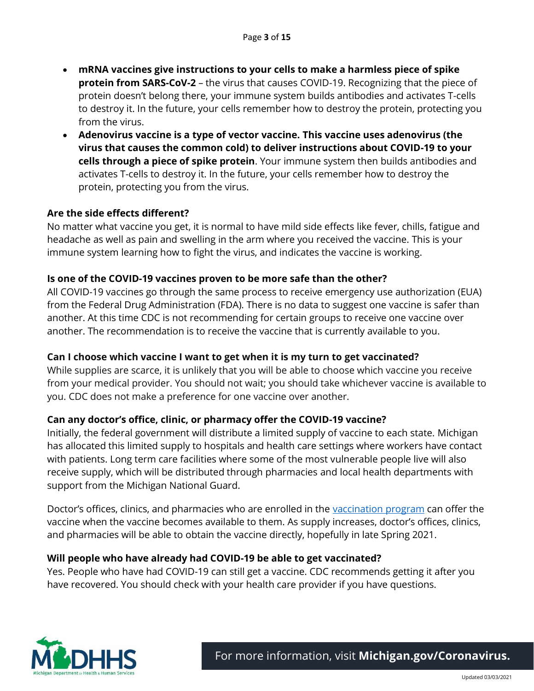- **mRNA vaccines give instructions to your cells to make a harmless piece of spike protein from SARS-CoV-2** – the virus that causes COVID-19. Recognizing that the piece of protein doesn't belong there, your immune system builds antibodies and activates T-cells to destroy it. In the future, your cells remember how to destroy the protein, protecting you from the virus.
- **Adenovirus vaccine is a type of vector vaccine. This vaccine uses adenovirus (the virus that causes the common cold) to deliver instructions about COVID-19 to your cells through a piece of spike protein**. Your immune system then builds antibodies and activates T-cells to destroy it. In the future, your cells remember how to destroy the protein, protecting you from the virus.

#### **Are the side effects different?**

No matter what vaccine you get, it is normal to have mild side effects like fever, chills, fatigue and headache as well as pain and swelling in the arm where you received the vaccine. This is your immune system learning how to fight the virus, and indicates the vaccine is working.

#### **Is one of the COVID-19 vaccines proven to be more safe than the other?**

All COVID-19 vaccines go through the same process to receive emergency use authorization (EUA) from the Federal Drug Administration (FDA). There is no data to suggest one vaccine is safer than another. At this time CDC is not recommending for certain groups to receive one vaccine over another. The recommendation is to receive the vaccine that is currently available to you.

#### **Can I choose which vaccine I want to get when it is my turn to get vaccinated?**

While supplies are scarce, it is unlikely that you will be able to choose which vaccine you receive from your medical provider. You should not wait; you should take whichever vaccine is available to you. CDC does not make a preference for one vaccine over another.

#### **Can any doctor's office, clinic, or pharmacy offer the COVID-19 vaccine?**

Initially, the federal government will distribute a limited supply of vaccine to each state. Michigan has allocated this limited supply to hospitals and health care settings where workers have contact with patients. Long term care facilities where some of the most vulnerable people live will also receive supply, which will be distributed through pharmacies and local health departments with support from the Michigan National Guard.

Doctor's offices, clinics, and pharmacies who are enrolled in the [vaccination program](https://www.michigan.gov/coronavirus/0,9753,7-406-98178_98156---,00.html) can offer the vaccine when the vaccine becomes available to them. As supply increases, doctor's offices, clinics, and pharmacies will be able to obtain the vaccine directly, hopefully in late Spring 2021.

#### **Will people who have already had COVID-19 be able to get vaccinated?**

Yes. People who have had COVID-19 can still get a vaccine. CDC recommends getting it after you have recovered. You should check with your health care provider if you have questions.

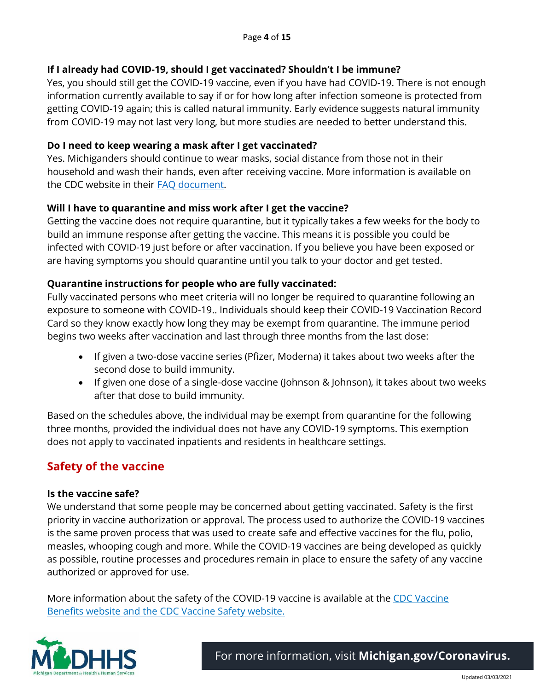### **If I already had COVID-19, should I get vaccinated? Shouldn't I be immune?**

Yes, you should still get the COVID-19 vaccine, even if you have had COVID-19. There is not enough information currently available to say if or for how long after infection someone is protected from getting COVID-19 again; this is called natural immunity. Early evidence suggests natural immunity from COVID-19 may not last very long, but more studies are needed to better understand this.

#### **Do I need to keep wearing a mask after I get vaccinated?**

Yes. Michiganders should continue to wear masks, social distance from those not in their household and wash their hands, even after receiving vaccine. More information is available on the CDC website in their [FAQ document.](https://www.cdc.gov/coronavirus/2019-ncov/vaccines/faq.html)

### **Will I have to quarantine and miss work after I get the vaccine?**

Getting the vaccine does not require quarantine, but it typically takes a few weeks for the body to build an immune response after getting the vaccine. This means it is possible you could be infected with COVID-19 just before or after vaccination. If you believe you have been exposed or are having symptoms you should quarantine until you talk to your doctor and get tested.

### **Quarantine instructions for people who are fully vaccinated:**

Fully vaccinated persons who meet criteria will no longer be required to quarantine following an exposure to someone with COVID-19.. Individuals should keep their COVID-19 Vaccination Record Card so they know exactly how long they may be exempt from quarantine. The immune period begins two weeks after vaccination and last through three months from the last dose:

- If given a two-dose vaccine series (Pfizer, Moderna) it takes about two weeks after the second dose to build immunity.
- If given one dose of a single-dose vaccine (Johnson & Johnson), it takes about two weeks after that dose to build immunity.

Based on the schedules above, the individual may be exempt from quarantine for the following three months, provided the individual does not have any COVID-19 symptoms. This exemption does not apply to vaccinated inpatients and residents in healthcare settings.

# **Safety of the vaccine**

#### **Is the vaccine safe?**

We understand that some people may be concerned about getting vaccinated. Safety is the first priority in vaccine authorization or approval. The process used to authorize the COVID-19 vaccines is the same proven process that was used to create safe and effective vaccines for the flu, polio, measles, whooping cough and more. While the COVID-19 vaccines are being developed as quickly as possible, routine processes and procedures remain in place to ensure the safety of any vaccine authorized or approved for use.

More information about the safety of the COVID-19 vaccine is available at the CDC Vaccine [Benefits website](https://www.cdc.gov/coronavirus/2019-ncov/vaccines/vaccine-benefits.html) and the [CDC Vaccine Safety website.](https://www.cdc.gov/coronavirus/2019-ncov/vaccines/safety.html)

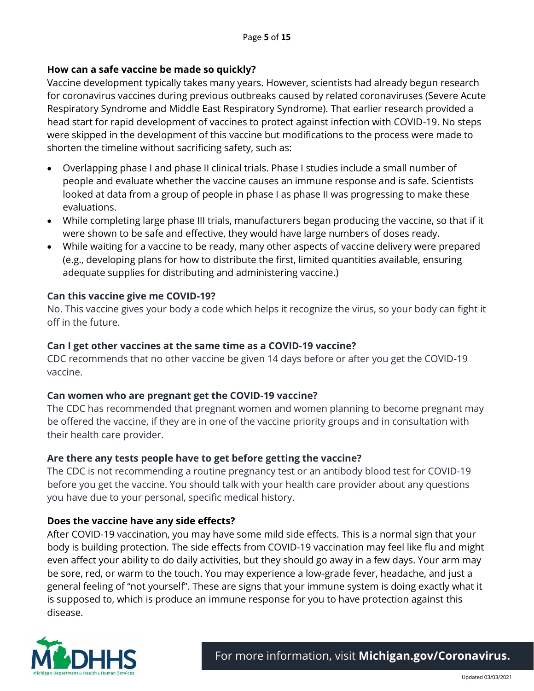## **How can a safe vaccine be made so quickly?**

Vaccine development typically takes many years. However, scientists had already begun research for coronavirus vaccines during previous outbreaks caused by related coronaviruses (Severe Acute Respiratory Syndrome and Middle East Respiratory Syndrome). That earlier research provided a head start for rapid development of vaccines to protect against infection with COVID-19. No steps were skipped in the development of this vaccine but modifications to the process were made to shorten the timeline without sacrificing safety, such as:

- Overlapping phase I and phase II clinical trials. Phase I studies include a small number of people and evaluate whether the vaccine causes an immune response and is safe. Scientists looked at data from a group of people in phase I as phase II was progressing to make these evaluations.
- While completing large phase III trials, manufacturers began producing the vaccine, so that if it were shown to be safe and effective, they would have large numbers of doses ready.
- While waiting for a vaccine to be ready, many other aspects of vaccine delivery were prepared (e.g., developing plans for how to distribute the first, limited quantities available, ensuring adequate supplies for distributing and administering vaccine.)

#### **Can this vaccine give me COVID-19?**

No. This vaccine gives your body a code which helps it recognize the virus, so your body can fight it off in the future.

#### **Can I get other vaccines at the same time as a COVID-19 vaccine?**

CDC recommends that no other vaccine be given 14 days before or after you get the COVID-19 vaccine.

#### **Can women who are pregnant get the COVID-19 vaccine?**

The CDC has recommended that pregnant women and women planning to become pregnant may be offered the vaccine, if they are in one of the vaccine priority groups and in consultation with their health care provider.

#### **Are there any tests people have to get before getting the vaccine?**

The CDC is not recommending a routine pregnancy test or an antibody blood test for COVID-19 before you get the vaccine. You should talk with your health care provider about any questions you have due to your personal, specific medical history.

#### **Does the vaccine have any side effects?**

After COVID-19 vaccination, you may have some mild side effects. This is a normal sign that your body is building protection. The side effects from COVID-19 vaccination may feel like flu and might even affect your ability to do daily activities, but they should go away in a few days. Your arm may be sore, red, or warm to the touch. You may experience a low-grade fever, headache, and just a general feeling of "not yourself". These are signs that your immune system is doing exactly what it is supposed to, which is produce an immune response for you to have protection against this disease.

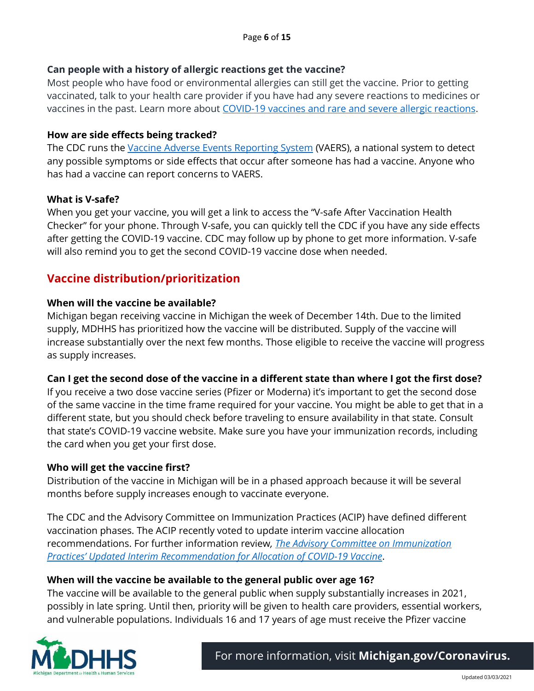### **Can people with a history of allergic reactions get the vaccine?**

Most people who have food or environmental allergies can still get the vaccine. Prior to getting vaccinated, talk to your health care provider if you have had any severe reactions to medicines or vaccines in the past. Learn more about [COVID-19 vaccines and rare and severe allergic reactions.](https://www.cdc.gov/coronavirus/2019-ncov/vaccines/safety/allergic-reaction.html)

#### **How are side effects being tracked?**

The CDC runs the [Vaccine Adverse Events Reporting System](https://vaers.hhs.gov/index.html) (VAERS), a national system to detect any possible symptoms or side effects that occur after someone has had a vaccine. Anyone who has had a vaccine can report concerns to VAERS.

#### **What is V-safe?**

When you get your vaccine, you will get a link to access the "V-safe After Vaccination Health Checker" for your phone. Through V-safe, you can quickly tell the CDC if you have any side effects after getting the COVID-19 vaccine. CDC may follow up by phone to get more information. V-safe will also remind you to get the second COVID-19 vaccine dose when needed.

# **Vaccine distribution/prioritization**

#### **When will the vaccine be available?**

Michigan began receiving vaccine in Michigan the week of December 14th. Due to the limited supply, MDHHS has prioritized how the vaccine will be distributed. Supply of the vaccine will increase substantially over the next few months. Those eligible to receive the vaccine will progress as supply increases.

#### **Can I get the second dose of the vaccine in a different state than where I got the first dose?**

If you receive a two dose vaccine series (Pfizer or Moderna) it's important to get the second dose of the same vaccine in the time frame required for your vaccine. You might be able to get that in a different state, but you should check before traveling to ensure availability in that state. Consult that state's COVID-19 vaccine website. Make sure you have your immunization records, including the card when you get your first dose.

#### **Who will get the vaccine first?**

Distribution of the vaccine in Michigan will be in a phased approach because it will be several months before supply increases enough to vaccinate everyone.

The CDC and the Advisory Committee on Immunization Practices (ACIP) have defined different vaccination phases. The ACIP recently voted to update interim vaccine allocation recommendations. For further information review*, [The Advisory Committee on Immunization](https://www.cdc.gov/mmwr/volumes/69/wr/mm695152e2.htm?s_cid=mm695152e2_e&ACSTrackingID=USCDC_921-DM45302&ACSTrackingLabel=MMWR%20Early%20Release%20-%20Vol.%2069%2C%20December%2022%2C%202020&deliveryName=USCDC_921-DM45302)  Practices' [Updated Interim Recommendation for Allocation of COVID-19 Vaccine](https://www.cdc.gov/mmwr/volumes/69/wr/mm695152e2.htm?s_cid=mm695152e2_e&ACSTrackingID=USCDC_921-DM45302&ACSTrackingLabel=MMWR%20Early%20Release%20-%20Vol.%2069%2C%20December%2022%2C%202020&deliveryName=USCDC_921-DM45302)*.

#### **When will the vaccine be available to the general public over age 16?**

The vaccine will be available to the general public when supply substantially increases in 2021, possibly in late spring. Until then, priority will be given to health care providers, essential workers, and vulnerable populations. Individuals 16 and 17 years of age must receive the Pfizer vaccine

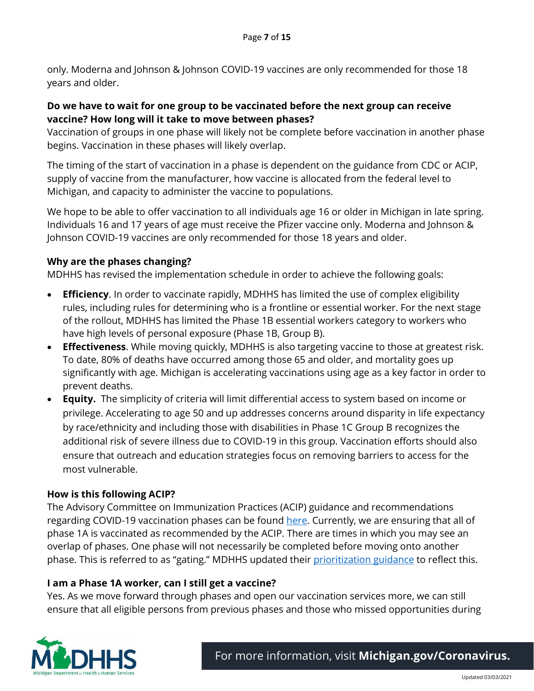only. Moderna and Johnson & Johnson COVID-19 vaccines are only recommended for those 18 years and older.

### **Do we have to wait for one group to be vaccinated before the next group can receive vaccine? How long will it take to move between phases?**

Vaccination of groups in one phase will likely not be complete before vaccination in another phase begins. Vaccination in these phases will likely overlap.

The timing of the start of vaccination in a phase is dependent on the guidance from CDC or ACIP, supply of vaccine from the manufacturer, how vaccine is allocated from the federal level to Michigan, and capacity to administer the vaccine to populations.

We hope to be able to offer vaccination to all individuals age 16 or older in Michigan in late spring. Individuals 16 and 17 years of age must receive the Pfizer vaccine only. Moderna and Johnson & Johnson COVID-19 vaccines are only recommended for those 18 years and older.

## **Why are the phases changing?**

MDHHS has revised the implementation schedule in order to achieve the following goals:

- **Efficiency**. In order to vaccinate rapidly, MDHHS has limited the use of complex eligibility rules, including rules for determining who is a frontline or essential worker. For the next stage of the rollout, MDHHS has limited the Phase 1B essential workers category to workers who have high levels of personal exposure (Phase 1B, Group B).
- **Effectiveness**. While moving quickly, MDHHS is also targeting vaccine to those at greatest risk. To date, 80% of deaths have occurred among those 65 and older, and mortality goes up significantly with age. Michigan is accelerating vaccinations using age as a key factor in order to prevent deaths.
- **Equity.** The simplicity of criteria will limit differential access to system based on income or privilege. Accelerating to age 50 and up addresses concerns around disparity in life expectancy by race/ethnicity and including those with disabilities in Phase 1C Group B recognizes the additional risk of severe illness due to COVID-19 in this group. Vaccination efforts should also ensure that outreach and education strategies focus on removing barriers to access for the most vulnerable.

## **How is this following ACIP?**

The Advisory Committee on Immunization Practices (ACIP) guidance and recommendations regarding COVID-19 vaccination phases can be found [here.](https://www.cdc.gov/vaccines/hcp/acip-recs/vacc-specific/covid-19.html) Currently, we are ensuring that all of phase 1A is vaccinated as recommended by the ACIP. There are times in which you may see an overlap of phases. One phase will not necessarily be completed before moving onto another phase. This is referred to as "gating." MDHHS updated their [prioritization guidance](https://www.michigan.gov/documents/coronavirus/MI_COVID-19_Vaccination_Prioritization_Guidance_710349_7.pdf) to reflect this.

#### **I am a Phase 1A worker, can I still get a vaccine?**

Yes. As we move forward through phases and open our vaccination services more, we can still ensure that all eligible persons from previous phases and those who missed opportunities during

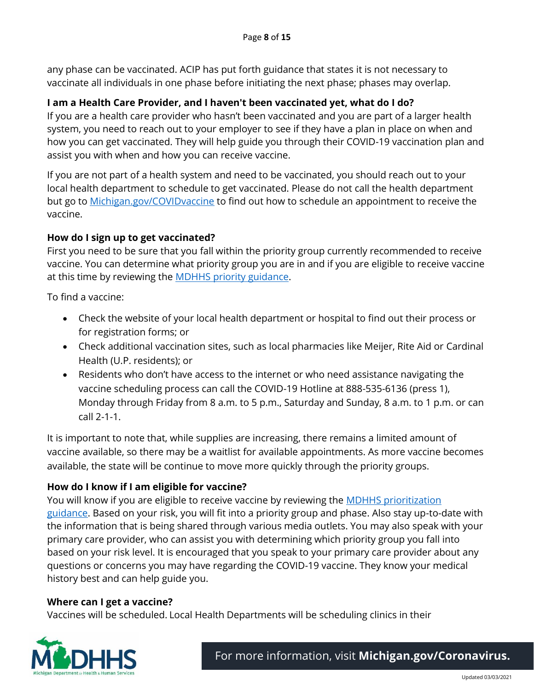any phase can be vaccinated. ACIP has put forth guidance that states it is not necessary to vaccinate all individuals in one phase before initiating the next phase; phases may overlap.

#### **I am a Health Care Provider, and I haven't been vaccinated yet, what do I do?**

If you are a health care provider who hasn't been vaccinated and you are part of a larger health system, you need to reach out to your employer to see if they have a plan in place on when and how you can get vaccinated. They will help guide you through their COVID-19 vaccination plan and assist you with when and how you can receive vaccine.

If you are not part of a health system and need to be vaccinated, you should reach out to your local health department to schedule to get vaccinated. Please do not call the health department but go to [Michigan.gov/COVIDvaccine](http://www.michigan.gov/COVIDvaccine) to find out how to schedule an appointment to receive the vaccine.

#### **How do I sign up to get vaccinated?**

First you need to be sure that you fall within the priority group currently recommended to receive vaccine. You can determine what priority group you are in and if you are eligible to receive vaccine at this time by reviewing the **MDHHS** priority guidance.

To find a vaccine:

- Check the website of your local health department or hospital to find out their process or for registration forms; or
- Check additional vaccination sites, such as local pharmacies like Meijer, Rite Aid or Cardinal Health (U.P. residents); or
- Residents who don't have access to the internet or who need assistance navigating the vaccine scheduling process can call the COVID-19 Hotline at 888-535-6136 (press 1), Monday through Friday from 8 a.m. to 5 p.m., Saturday and Sunday, 8 a.m. to 1 p.m. or can call 2-1-1.

It is important to note that, while supplies are increasing, there remains a limited amount of vaccine available, so there may be a waitlist for available appointments. As more vaccine becomes available, the state will be continue to move more quickly through the priority groups.

#### **How do I know if I am eligible for vaccine?**

You will know if you are eligible to receive vaccine by reviewing the **MDHHS** prioritization [guidance.](https://www.michigan.gov/documents/coronavirus/MI_COVID-19_Vaccination_Prioritization_Guidance_710349_7.pdf) Based on your risk, you will fit into a priority group and phase. Also stay up-to-date with the information that is being shared through various media outlets. You may also speak with your primary care provider, who can assist you with determining which priority group you fall into based on your risk level. It is encouraged that you speak to your primary care provider about any questions or concerns you may have regarding the COVID-19 vaccine. They know your medical history best and can help guide you.

#### **Where can I get a vaccine?**

Vaccines will be scheduled. Local Health Departments will be scheduling clinics in their

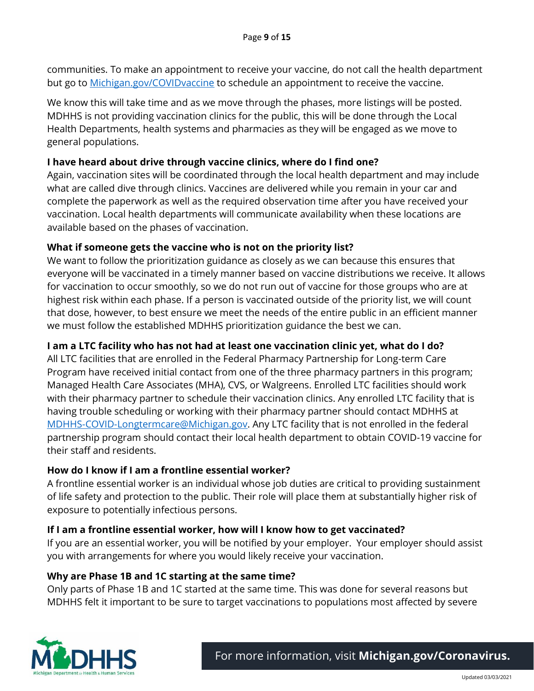communities. To make an appointment to receive your vaccine, do not call the health department but go to [Michigan.gov/COVIDvaccine](http://www.michigan.gov/COVIDvaccine) to schedule an appointment to receive the vaccine.

We know this will take time and as we move through the phases, more listings will be posted. MDHHS is not providing vaccination clinics for the public, this will be done through the Local Health Departments, health systems and pharmacies as they will be engaged as we move to general populations.

### **I have heard about drive through vaccine clinics, where do I find one?**

Again, vaccination sites will be coordinated through the local health department and may include what are called dive through clinics. Vaccines are delivered while you remain in your car and complete the paperwork as well as the required observation time after you have received your vaccination. Local health departments will communicate availability when these locations are available based on the phases of vaccination.

### **What if someone gets the vaccine who is not on the priority list?**

We want to follow the prioritization guidance as closely as we can because this ensures that everyone will be vaccinated in a timely manner based on vaccine distributions we receive. It allows for vaccination to occur smoothly, so we do not run out of vaccine for those groups who are at highest risk within each phase. If a person is vaccinated outside of the priority list, we will count that dose, however, to best ensure we meet the needs of the entire public in an efficient manner we must follow the established MDHHS prioritization guidance the best we can.

## **I am a LTC facility who has not had at least one vaccination clinic yet, what do I do?**

All LTC facilities that are enrolled in the Federal Pharmacy Partnership for Long-term Care Program have received initial contact from one of the three pharmacy partners in this program; Managed Health Care Associates (MHA), CVS, or Walgreens. Enrolled LTC facilities should work with their pharmacy partner to schedule their vaccination clinics. Any enrolled LTC facility that is having trouble scheduling or working with their pharmacy partner should contact MDHHS at [MDHHS-COVID-Longtermcare@Michigan.gov.](mailto:MDHHS-COVID-Longtermcare@Michigan.gov) Any LTC facility that is not enrolled in the federal partnership program should contact their local health department to obtain COVID-19 vaccine for their staff and residents.

#### **How do I know if I am a frontline essential worker?**

A frontline essential worker is an individual whose job duties are critical to providing sustainment of life safety and protection to the public. Their role will place them at substantially higher risk of exposure to potentially infectious persons.

#### **If I am a frontline essential worker, how will I know how to get vaccinated?**

If you are an essential worker, you will be notified by your employer. Your employer should assist you with arrangements for where you would likely receive your vaccination.

#### **Why are Phase 1B and 1C starting at the same time?**

Only parts of Phase 1B and 1C started at the same time. This was done for several reasons but MDHHS felt it important to be sure to target vaccinations to populations most affected by severe

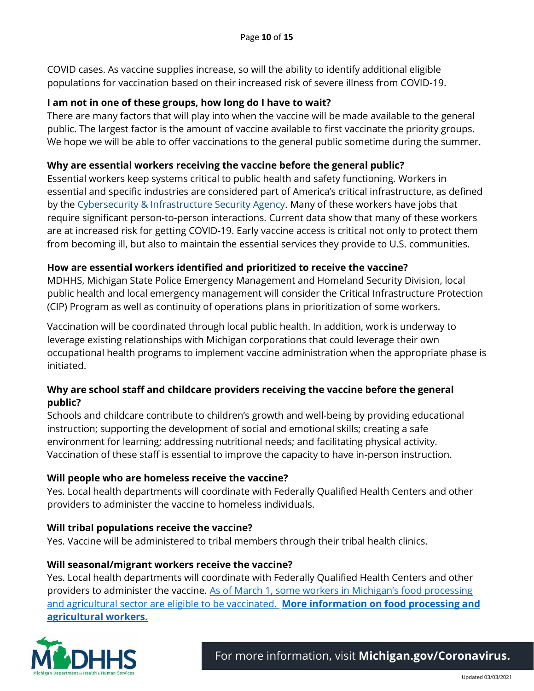COVID cases. As vaccine supplies increase, so will the ability to identify additional eligible populations for vaccination based on their increased risk of severe illness from COVID-19.

#### **I am not in one of these groups, how long do I have to wait?**

There are many factors that will play into when the vaccine will be made available to the general public. The largest factor is the amount of vaccine available to first vaccinate the priority groups. We hope we will be able to offer vaccinations to the general public sometime during the summer.

## **Why are essential workers receiving the vaccine before the general public?**

Essential workers keep systems critical to public health and safety functioning. Workers in essential and specific industries are considered part of America's critical infrastructure, as defined by the Cybersecurity & Infrastructure Security Agency. Many of these workers have jobs that require significant person-to-person interactions. Current data show that many of these workers are at increased risk for getting COVID-19. Early vaccine access is critical not only to protect them from becoming ill, but also to maintain the essential services they provide to U.S. communities.

### **How are essential workers identified and prioritized to receive the vaccine?**

MDHHS, Michigan State Police Emergency Management and Homeland Security Division, local public health and local emergency management will consider the Critical Infrastructure Protection (CIP) Program as well as continuity of operations plans in prioritization of some workers.

Vaccination will be coordinated through local public health. In addition, work is underway to leverage existing relationships with Michigan corporations that could leverage their own occupational health programs to implement vaccine administration when the appropriate phase is initiated.

### **Why are school staff and childcare providers receiving the vaccine before the general public?**

Schools and childcare contribute to children's growth and well-being by providing educational instruction; supporting the development of social and emotional skills; creating a safe environment for learning; addressing nutritional needs; and facilitating physical activity. Vaccination of these staff is essential to improve the capacity to have in-person instruction.

#### **Will people who are homeless receive the vaccine?**

Yes. Local health departments will coordinate with Federally Qualified Health Centers and other providers to administer the vaccine to homeless individuals.

#### **Will tribal populations receive the vaccine?**

Yes. Vaccine will be administered to tribal members through their tribal health clinics.

#### **Will seasonal/migrant workers receive the vaccine?**

Yes. Local health departments will coordinate with Federally Qualified Health Centers and other providers to administer the vaccine. As of March [1, some workers in Michigan's](https://www.michigan.gov/documents/coronavirus/MI_COVID-19_Vaccination_Prioritization_Guidance_2152021_716344_7.pdf) food processing and agricultural sector [are eligible to be vaccinated.](https://www.michigan.gov/documents/coronavirus/MI_COVID-19_Vaccination_Prioritization_Guidance_2152021_716344_7.pdf) **[More information on](https://www.michigan.gov/documents/coronavirus/Ag_Worker_Vaccine_022621_717644_7.pdf) food processing and [agricultural workers.](https://www.michigan.gov/documents/coronavirus/Ag_Worker_Vaccine_022621_717644_7.pdf)**

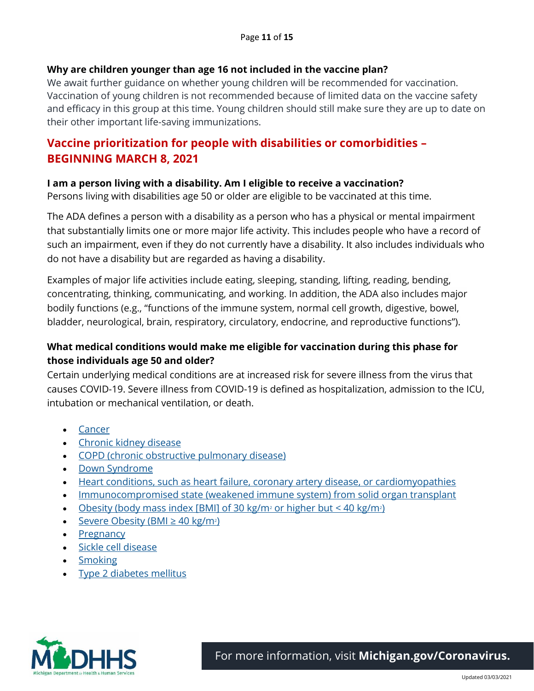#### **Why are children younger than age 16 not included in the vaccine plan?**

We await further guidance on whether young children will be recommended for vaccination. Vaccination of young children is not recommended because of limited data on the vaccine safety and efficacy in this group at this time. Young children should still make sure they are up to date on their other important life-saving immunizations.

# **Vaccine prioritization for people with disabilities or comorbidities – BEGINNING MARCH 8, 2021**

#### **I am a person living with a disability. Am I eligible to receive a vaccination?**

Persons living with disabilities age 50 or older are eligible to be vaccinated at this time.

The ADA defines a person with a disability as a person who has a physical or mental impairment that substantially limits one or more major life activity. This includes people who have a record of such an impairment, even if they do not currently have a disability. It also includes individuals who do not have a disability but are regarded as having a disability.

Examples of major life activities include eating, sleeping, standing, lifting, reading, bending, concentrating, thinking, communicating, and working. In addition, the ADA also includes major bodily functions (e.g., "functions of the immune system, normal cell growth, digestive, bowel, bladder, neurological, brain, respiratory, circulatory, endocrine, and reproductive functions").

## **What medical conditions would make me eligible for vaccination during this phase for those individuals age 50 and older?**

Certain underlying medical conditions are at increased risk for severe illness from the virus that causes COVID-19. Severe illness from COVID-19 is defined as hospitalization, admission to the ICU, intubation or mechanical ventilation, or death.

- [Cancer](https://www.cdc.gov/coronavirus/2019-ncov/need-extra-precautions/people-with-medical-conditions.html#cancer)
- [Chronic kidney disease](https://www.cdc.gov/coronavirus/2019-ncov/need-extra-precautions/people-with-medical-conditions.html#chronic-kidney-disease)
- [COPD \(chronic obstructive pulmonary disease\)](https://www.cdc.gov/coronavirus/2019-ncov/need-extra-precautions/people-with-medical-conditions.html#copd)
- [Down Syndrome](https://www.cdc.gov/coronavirus/2019-ncov/need-extra-precautions/people-with-medical-conditions.html#downsyndrome)
- [Heart conditions, such as heart failure, coronary artery disease, or cardiomyopathies](https://www.cdc.gov/coronavirus/2019-ncov/need-extra-precautions/people-with-medical-conditions.html#heart-conditions)
- [Immunocompromised state \(weakened immune system\) from solid organ transplant](https://www.cdc.gov/coronavirus/2019-ncov/need-extra-precautions/people-with-medical-conditions.html#immunocompromised-state)
- [Obesity \(body mass index \[BMI\] of 30 kg/m](https://www.cdc.gov/coronavirus/2019-ncov/need-extra-precautions/people-with-medical-conditions.html#obesity)<sup>2</sup> or higher but < 40 kg/m<sup>2</sup>)
- [Severe Obesity \(](https://www.cdc.gov/coronavirus/2019-ncov/need-extra-precautions/people-with-medical-conditions.html#obesity)BMI  $\geq$  40 kg/m<sup>2</sup>)
- [Pregnancy](https://www.cdc.gov/coronavirus/2019-ncov/need-extra-precautions/people-with-medical-conditions.html#pregnancy)
- [Sickle cell disease](https://www.cdc.gov/coronavirus/2019-ncov/need-extra-precautions/people-with-medical-conditions.html#hemoglobin-disorders)
- [Smoking](https://www.cdc.gov/coronavirus/2019-ncov/need-extra-precautions/people-with-medical-conditions.html#smoking)
- [Type 2 diabetes mellitus](https://www.cdc.gov/coronavirus/2019-ncov/need-extra-precautions/people-with-medical-conditions.html#diabetes)



For more information, visit **[Michigan.gov/Coronavirus.](http://www.michigan.gov/Coronavirus)**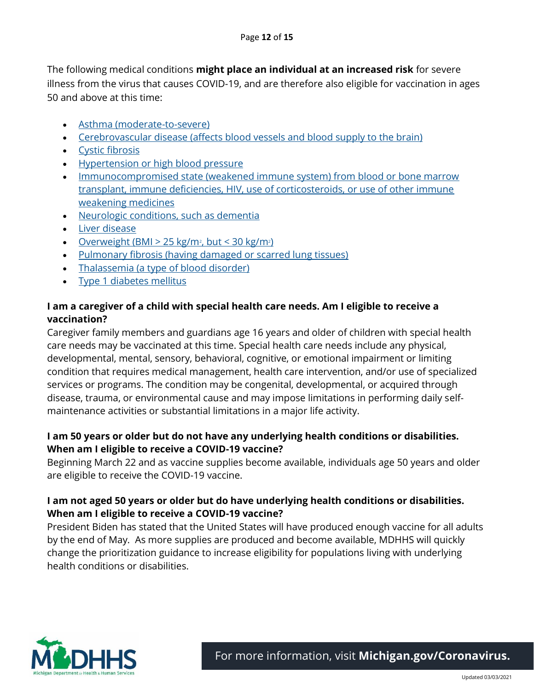The following medical conditions **might place an individual at an increased risk** for severe illness from the virus that causes COVID-19, and are therefore also eligible for vaccination in ages 50 and above at this time:

- [Asthma \(moderate-to-severe\)](https://www.cdc.gov/coronavirus/2019-ncov/need-extra-precautions/people-with-medical-conditions.html#asthma)
- [Cerebrovascular disease \(affects blood vessels and blood supply to the brain\)](https://www.cdc.gov/coronavirus/2019-ncov/need-extra-precautions/people-with-medical-conditions.html#serious-heart-conditions)
- [Cystic fibrosis](https://www.cdc.gov/coronavirus/2019-ncov/need-extra-precautions/people-with-medical-conditions.html#copd)
- [Hypertension or high blood pressure](https://www.cdc.gov/coronavirus/2019-ncov/need-extra-precautions/people-with-medical-conditions.html#serious-heart-conditions)
- Immunocompromised state (weakened immune system) from blood or bone marrow [transplant, immune deficiencies, HIV, use of corticosteroids, or use of other immune](https://www.cdc.gov/coronavirus/2019-ncov/need-extra-precautions/people-with-medical-conditions.html#immunocompromised-state)  [weakening medicines](https://www.cdc.gov/coronavirus/2019-ncov/need-extra-precautions/people-with-medical-conditions.html#immunocompromised-state)
- [Neurologic conditions, such as dementia](https://www.cdc.gov/coronavirus/2019-ncov/need-extra-precautions/people-with-medical-conditions.html#neurologic-conditions)
- [Liver disease](https://www.cdc.gov/coronavirus/2019-ncov/need-extra-precautions/people-with-medical-conditions.html#liver-disease)
- Overweight (BMI  $> 25$  kg/m<sup>2</sup>, but  $< 30$  kg/m<sup>2</sup>)
- [Pulmonary fibrosis \(having damaged or scarred lung tissues\)](https://www.cdc.gov/coronavirus/2019-ncov/need-extra-precautions/people-with-medical-conditions.html#copd)
- [Thalassemia \(a type of blood disorder\)](https://www.cdc.gov/coronavirus/2019-ncov/need-extra-precautions/people-with-medical-conditions.html#hemoglobin-disorders)
- [Type 1 diabetes mellitus](https://www.cdc.gov/coronavirus/2019-ncov/need-extra-precautions/people-with-medical-conditions.html#diabetes)

## **I am a caregiver of a child with special health care needs. Am I eligible to receive a vaccination?**

Caregiver family members and guardians age 16 years and older of children with special health care needs may be vaccinated at this time. Special health care needs include any physical, developmental, mental, sensory, behavioral, cognitive, or emotional impairment or limiting condition that requires medical management, health care intervention, and/or use of specialized services or programs. The condition may be congenital, developmental, or acquired through disease, trauma, or environmental cause and may impose limitations in performing daily selfmaintenance activities or substantial limitations in a major life activity.

### **I am 50 years or older but do not have any underlying health conditions or disabilities. When am I eligible to receive a COVID-19 vaccine?**

Beginning March 22 and as vaccine supplies become available, individuals age 50 years and older are eligible to receive the COVID-19 vaccine.

## **I am not aged 50 years or older but do have underlying health conditions or disabilities. When am I eligible to receive a COVID-19 vaccine?**

President Biden has stated that the United States will have produced enough vaccine for all adults by the end of May. As more supplies are produced and become available, MDHHS will quickly change the prioritization guidance to increase eligibility for populations living with underlying health conditions or disabilities.



For more information, visit **[Michigan.gov/Coronavirus.](http://www.michigan.gov/Coronavirus)**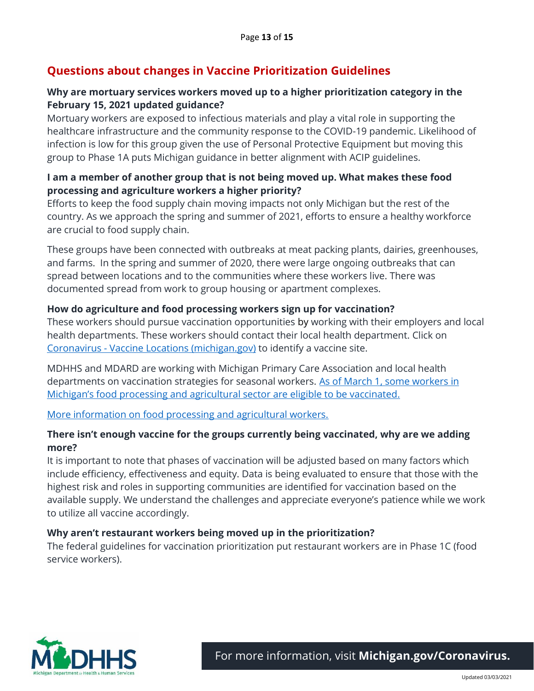# **Questions about changes in Vaccine Prioritization Guidelines**

### **Why are mortuary services workers moved up to a higher prioritization category in the February 15, 2021 updated guidance?**

Mortuary workers are exposed to infectious materials and play a vital role in supporting the healthcare infrastructure and the community response to the COVID-19 pandemic. Likelihood of infection is low for this group given the use of Personal Protective Equipment but moving this group to Phase 1A puts Michigan guidance in better alignment with ACIP guidelines.

## **I am a member of another group that is not being moved up. What makes these food processing and agriculture workers a higher priority?**

Efforts to keep the food supply chain moving impacts not only Michigan but the rest of the country. As we approach the spring and summer of 2021, efforts to ensure a healthy workforce are crucial to food supply chain.

These groups have been connected with outbreaks at meat packing plants, dairies, greenhouses, and farms. In the spring and summer of 2020, there were large ongoing outbreaks that can spread between locations and to the communities where these workers live. There was documented spread from work to group housing or apartment complexes.

### **How do agriculture and food processing workers sign up for vaccination?**

These workers should pursue vaccination opportunities by working with their employers and local health departments. These workers should contact their local health department. Click on Coronavirus - [Vaccine Locations \(michigan.gov\)](https://www.michigan.gov/coronavirus/0,9753,7-406-98178_103214_104822---,00.html#block-3_121336) to identify a vaccine site.

MDHHS and MDARD are working with Michigan Primary Care Association and local health departments on vaccination strategies for seasonal workers. [As of March 1, some workers in](https://www.michigan.gov/documents/coronavirus/MI_COVID-19_Vaccination_Prioritization_Guidance_2152021_716344_7.pdf)  [Michigan's food processing and agricultural sector are eligible to be vaccinated](https://www.michigan.gov/documents/coronavirus/MI_COVID-19_Vaccination_Prioritization_Guidance_2152021_716344_7.pdf).

[More information on food processing and agricultural workers.](https://www.michigan.gov/documents/coronavirus/Ag_Worker_Vaccine_022621_717644_7.pdf)

## **There isn't enough vaccine for the groups currently being vaccinated, why are we adding more?**

It is important to note that phases of vaccination will be adjusted based on many factors which include efficiency, effectiveness and equity. Data is being evaluated to ensure that those with the highest risk and roles in supporting communities are identified for vaccination based on the available supply. We understand the challenges and appreciate everyone's patience while we work to utilize all vaccine accordingly.

#### **Why aren't restaurant workers being moved up in the prioritization?**

The federal guidelines for vaccination prioritization put restaurant workers are in Phase 1C (food service workers).



For more information, visit **[Michigan.gov/Coronavirus.](http://www.michigan.gov/Coronavirus)**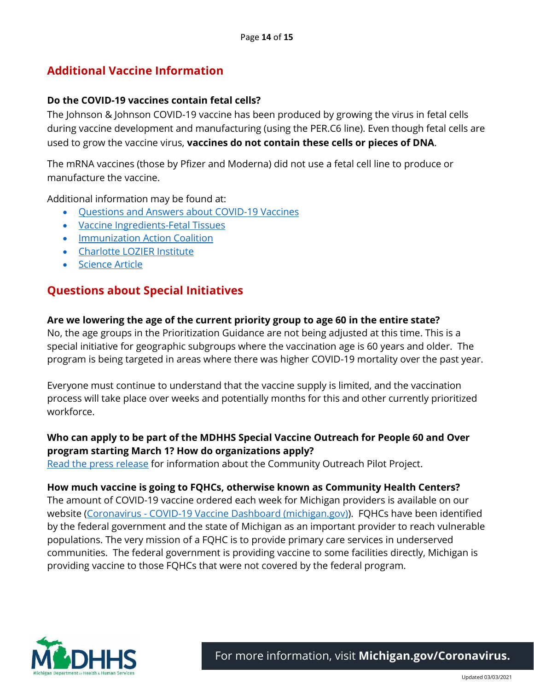# **Additional Vaccine Information**

#### **Do the COVID-19 vaccines contain fetal cells?**

The Johnson & Johnson COVID-19 vaccine has been produced by growing the virus in fetal cells during vaccine development and manufacturing (using the PER.C6 line). Even though fetal cells are used to grow the vaccine virus, **vaccines do not contain these cells or pieces of DNA**.

The mRNA vaccines (those by Pfizer and Moderna) did not use a fetal cell line to produce or manufacture the vaccine.

Additional information may be found at:

- [Questions and Answers about COVID-19 Vaccines](https://gcc02.safelinks.protection.outlook.com/?url=https%3A%2F%2Fwww.chop.edu%2Fcenters-programs%2Fvaccine-education-center%2Fmaking-vaccines%2Fprevent-covid&data=04%7C01%7CLoynesH%40michigan.gov%7Cec3052fd7ea048ba8cd908d8dcc561dc%7Cd5fb7087377742ad966a892ef47225d1%7C0%7C0%7C637502087599443534%7CUnknown%7CTWFpbGZsb3d8eyJWIjoiMC4wLjAwMDAiLCJQIjoiV2luMzIiLCJBTiI6Ik1haWwiLCJXVCI6Mn0%3D%7C1000&sdata=OeB2g8%2BtwU%2BwfZT2s%2BbaSbDu1f4PMhKwrlP3O09bYnc%3D&reserved=0)
- [Vaccine Ingredients-Fetal Tissues](https://gcc02.safelinks.protection.outlook.com/?url=https%3A%2F%2Fwww.chop.edu%2Fcenters-programs%2Fvaccine-education-center%2Fvaccine-ingredients%2Ffetal-tissues&data=04%7C01%7CLoynesH%40michigan.gov%7Cec3052fd7ea048ba8cd908d8dcc561dc%7Cd5fb7087377742ad966a892ef47225d1%7C0%7C0%7C637502087599443534%7CUnknown%7CTWFpbGZsb3d8eyJWIjoiMC4wLjAwMDAiLCJQIjoiV2luMzIiLCJBTiI6Ik1haWwiLCJXVCI6Mn0%3D%7C1000&sdata=AUYu1IROoq5KUsmJj%2BC87TugHabFziz2GVJZcZ7bQWQ%3D&reserved=0)
- [Immunization Action Coalition](https://gcc02.safelinks.protection.outlook.com/?url=https%3A%2F%2Fwww.immunize.org%2Ftalking-about-vaccines%2Freligious-concerns.asp&data=04%7C01%7CLoynesH%40michigan.gov%7Cec3052fd7ea048ba8cd908d8dcc561dc%7Cd5fb7087377742ad966a892ef47225d1%7C0%7C0%7C637502087599453490%7CUnknown%7CTWFpbGZsb3d8eyJWIjoiMC4wLjAwMDAiLCJQIjoiV2luMzIiLCJBTiI6Ik1haWwiLCJXVCI6Mn0%3D%7C1000&sdata=62sJQiSzcSoQXfsNzhT2%2BevReQOtX6APpdRk%2BMVhkac%3D&reserved=0)
- [Charlotte LOZIER Institute](https://gcc02.safelinks.protection.outlook.com/?url=https%3A%2F%2Flozierinstitute.org%2Fupdate-covid-19-vaccine-candidates-and-abortion-derived-cell-lines%2F&data=04%7C01%7CLoynesH%40michigan.gov%7Cec3052fd7ea048ba8cd908d8dcc561dc%7Cd5fb7087377742ad966a892ef47225d1%7C0%7C0%7C637502087599453490%7CUnknown%7CTWFpbGZsb3d8eyJWIjoiMC4wLjAwMDAiLCJQIjoiV2luMzIiLCJBTiI6Ik1haWwiLCJXVCI6Mn0%3D%7C1000&sdata=5tBKhb%2FVZXYxXBpyhCAmuFibW%2FLbg6wV2mh3zlBHaMg%3D&reserved=0)
- [Science Article](https://gcc02.safelinks.protection.outlook.com/?url=https%3A%2F%2Fwww.sciencemag.org%2Fnews%2F2020%2F06%2Fabortion-opponents-protest-covid-19-vaccines-use-fetal-cells&data=04%7C01%7CLoynesH%40michigan.gov%7Cec3052fd7ea048ba8cd908d8dcc561dc%7Cd5fb7087377742ad966a892ef47225d1%7C0%7C0%7C637502087599463449%7CUnknown%7CTWFpbGZsb3d8eyJWIjoiMC4wLjAwMDAiLCJQIjoiV2luMzIiLCJBTiI6Ik1haWwiLCJXVCI6Mn0%3D%7C1000&sdata=7EbcO0ECKHnfphGSpTAXOtzmfp0kd7eVWymSJw8Qpww%3D&reserved=0)

## **Questions about Special Initiatives**

#### **Are we lowering the age of the current priority group to age 60 in the entire state?**

No, the age groups in the Prioritization Guidance are not being adjusted at this time. This is a special initiative for geographic subgroups where the vaccination age is 60 years and older. The program is being targeted in areas where there was higher COVID-19 mortality over the past year.

Everyone must continue to understand that the vaccine supply is limited, and the vaccination process will take place over weeks and potentially months for this and other currently prioritized workforce.

#### **Who can apply to be part of the MDHHS Special Vaccine Outreach for People 60 and Over program starting March 1? How do organizations apply?**

[Read the press release](https://www.michigan.gov/coronavirus/0,9753,7-406-98158-552087--,00.html) for information about the Community Outreach Pilot Project.

#### **How much vaccine is going to FQHCs, otherwise known as Community Health Centers?**

The amount of COVID-19 vaccine ordered each week for Michigan providers is available on our website (Coronavirus - [COVID-19 Vaccine Dashboard \(michigan.gov\)\)](https://www.michigan.gov/coronavirus/0,9753,7-406-98178_103214-547150--,00.html). FQHCs have been identified by the federal government and the state of Michigan as an important provider to reach vulnerable populations. The very mission of a FQHC is to provide primary care services in underserved communities. The federal government is providing vaccine to some facilities directly, Michigan is providing vaccine to those FQHCs that were not covered by the federal program.